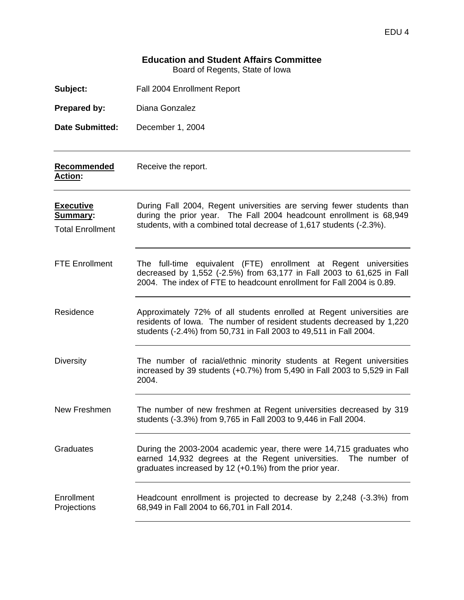# **Education and Student Affairs Committee**

Board of Regents, State of Iowa

| Subject:                                                       | Fall 2004 Enrollment Report                                                                                                                                                                                         |
|----------------------------------------------------------------|---------------------------------------------------------------------------------------------------------------------------------------------------------------------------------------------------------------------|
| Prepared by:                                                   | Diana Gonzalez                                                                                                                                                                                                      |
| <b>Date Submitted:</b>                                         | December 1, 2004                                                                                                                                                                                                    |
| Recommended<br>Action:                                         | Receive the report.                                                                                                                                                                                                 |
| <b>Executive</b><br><b>Summary:</b><br><b>Total Enrollment</b> | During Fall 2004, Regent universities are serving fewer students than<br>during the prior year. The Fall 2004 headcount enrollment is 68,949<br>students, with a combined total decrease of 1,617 students (-2.3%). |
| <b>FTE Enrollment</b>                                          | The full-time equivalent (FTE) enrollment at Regent universities<br>decreased by 1,552 (-2.5%) from 63,177 in Fall 2003 to 61,625 in Fall<br>2004. The index of FTE to headcount enrollment for Fall 2004 is 0.89.  |
| Residence                                                      | Approximately 72% of all students enrolled at Regent universities are<br>residents of lowa. The number of resident students decreased by 1,220<br>students (-2.4%) from 50,731 in Fall 2003 to 49,511 in Fall 2004. |
| <b>Diversity</b>                                               | The number of racial/ethnic minority students at Regent universities<br>increased by 39 students (+0.7%) from 5,490 in Fall 2003 to 5,529 in Fall<br>2004.                                                          |
| New Freshmen                                                   | The number of new freshmen at Regent universities decreased by 319<br>students (-3.3%) from 9,765 in Fall 2003 to 9,446 in Fall 2004.                                                                               |
| Graduates                                                      | During the 2003-2004 academic year, there were 14,715 graduates who<br>earned 14,932 degrees at the Regent universities.<br>The number of<br>graduates increased by 12 (+0.1%) from the prior year.                 |
| Enrollment<br>Projections                                      | Headcount enrollment is projected to decrease by 2,248 (-3.3%) from<br>68,949 in Fall 2004 to 66,701 in Fall 2014.                                                                                                  |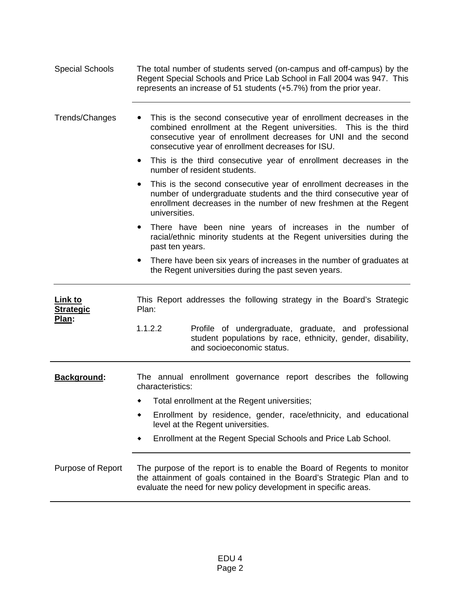| Special Schools | The total number of students served (on-campus and off-campus) by the  |
|-----------------|------------------------------------------------------------------------|
|                 | Regent Special Schools and Price Lab School in Fall 2004 was 947. This |
|                 | represents an increase of 51 students (+5.7%) from the prior year.     |

Trends/Changes • This is the second consecutive year of enrollment decreases in the combined enrollment at the Regent universities. This is the third consecutive year of enrollment decreases for UNI and the second consecutive year of enrollment decreases for ISU.

> • This is the third consecutive year of enrollment decreases in the number of resident students.

> This is the second consecutive year of enrollment decreases in the number of undergraduate students and the third consecutive year of enrollment decreases in the number of new freshmen at the Regent universities.

> • There have been nine years of increases in the number of racial/ethnic minority students at the Regent universities during the past ten years.

> • There have been six years of increases in the number of graduates at the Regent universities during the past seven years.

**Link to Strategic Plan:**  This Report addresses the following strategy in the Board's Strategic Plan: 1.1.2.2 Profile of undergraduate, graduate, and professional student populations by race, ethnicity, gender, disability, and socioeconomic status. **Background:** The annual enrollment governance report describes the following characteristics: Total enrollment at the Regent universities; Enrollment by residence, gender, race/ethnicity, and educational level at the Regent universities. Enrollment at the Regent Special Schools and Price Lab School. Purpose of Report The purpose of the report is to enable the Board of Regents to monitor the attainment of goals contained in the Board's Strategic Plan and to

evaluate the need for new policy development in specific areas.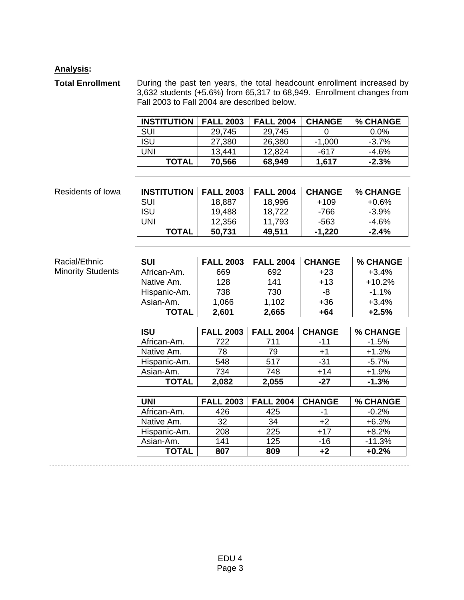## **Analysis:**

**Total Enrollment** During the past ten years, the total headcount enrollment increased by 3,632 students (+5.6%) from 65,317 to 68,949. Enrollment changes from Fall 2003 to Fall 2004 are described below.

| <b>INSTITUTION</b> | <b>FALL 2003</b> | <b>FALL 2004</b> | <b>CHANGE</b> | % CHANGE |
|--------------------|------------------|------------------|---------------|----------|
| SUI                | 29,745           | 29,745           |               | $0.0\%$  |
| <b>ISU</b>         | 27,380           | 26,380           | $-1,000$      | $-3.7\%$ |
| UNI                | 13,441           | 12,824           | -617          | $-4.6\%$ |
| <b>TOTAL</b>       | 70,566           | 68,949           | 1,617         | $-2.3%$  |

### **Residents of Iowa**

Racial/Ethnic Minority Students

| <b>INSTITUTION</b> | <b>FALL 2003</b> | <b>FALL 2004</b> | <b>CHANGE</b> | <b>% CHANGE</b> |
|--------------------|------------------|------------------|---------------|-----------------|
| SUI                | 18,887           | 18,996           | $+109$        | $+0.6\%$        |
| <b>ISU</b>         | 19,488           | 18,722           | -766          | $-3.9\%$        |
| UNI                | 12,356           | 11,793           | -563          | -4.6%           |
| <b>TOTAL</b>       | 50,731           | 49,511           | $-1,220$      | $-2.4%$         |

| <b>SUI</b>   | <b>FALL 2003</b> | <b>FALL 2004</b> | <b>CHANGE</b> | % CHANGE |
|--------------|------------------|------------------|---------------|----------|
| African-Am.  | 669              | 692              | $+23$         | $+3.4%$  |
| Native Am.   | 128              | 141              | $+13$         | $+10.2%$ |
| Hispanic-Am. | 738              | 730              | -8            | $-1.1%$  |
| Asian-Am.    | 1,066            | 1,102            | +36           | $+3.4%$  |
| TOTAL        | 2,601            | 2,665            | +64           | $+2.5%$  |

| <b>ISU</b>   | <b>FALL 2003</b> | <b>FALL 2004</b> | <b>CHANGE</b> | % CHANGE |
|--------------|------------------|------------------|---------------|----------|
| African-Am.  | 722              | 711              | -11           | $-1.5%$  |
| Native Am.   | 78               | 79               | $+1$          | $+1.3%$  |
| Hispanic-Am. | 548              | 517              | -31           | $-5.7%$  |
| Asian-Am.    | 734              | 748              | $+14$         | $+1.9%$  |
| <b>TOTAL</b> | 2,082            | 2,055            | -27           | $-1.3%$  |

| UNI          | <b>FALL 2003</b> | <b>FALL 2004</b> | <b>CHANGE</b> | % CHANGE |
|--------------|------------------|------------------|---------------|----------|
| African-Am.  | 426              | 425              | -1            | $-0.2%$  |
| Native Am.   | 32               | 34               | $+2$          | $+6.3%$  |
| Hispanic-Am. | 208              | 225              | $+17$         | $+8.2%$  |
| Asian-Am.    | 141              | 125              | $-16$         | $-11.3%$ |
| ΤΟΤΑL        | 807              | 809              | $+2$          | $+0.2%$  |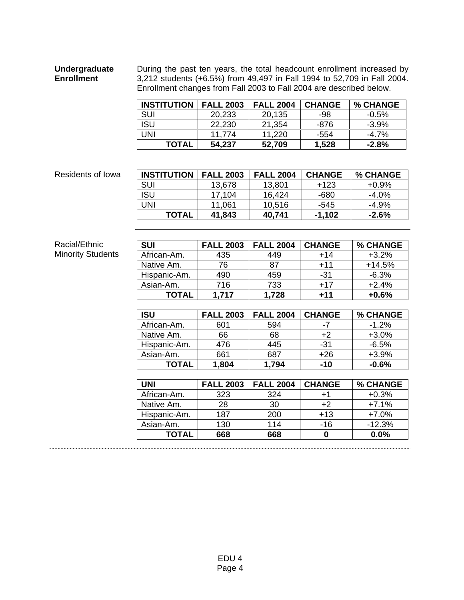#### **Undergraduate Enrollment**  During the past ten years, the total headcount enrollment increased by 3,212 students (+6.5%) from 49,497 in Fall 1994 to 52,709 in Fall 2004. Enrollment changes from Fall 2003 to Fall 2004 are described below.

| <b>INSTITUTION</b> | <b>FALL 2003</b> | <b>FALL 2004</b> | <b>CHANGE</b> | % CHANGE |
|--------------------|------------------|------------------|---------------|----------|
| <b>SUI</b>         | 20,233           | 20,135           | -98           | $-0.5\%$ |
| <b>ISU</b>         | 22,230           | 21,354           | -876          | $-3.9%$  |
| UNI                | 11.774           | 11.220           | -554          | $-4.7\%$ |
| <b>TOTAL</b>       | 54,237           | 52,709           | 1,528         | $-2.8\%$ |

#### **Residents of Iowa**

| <b>INSTITUTION</b> | <b>FALL 2003</b> | <b>FALL 2004</b> | <b>CHANGE</b> | <b>% CHANGE</b> |
|--------------------|------------------|------------------|---------------|-----------------|
| SUI                | 13,678           | 13,801           | $+123$        | $+0.9\%$        |
| <b>ISU</b>         | 17,104           | 16,424           | -680          | $-4.0\%$        |
| UNI                | 11,061           | 10,516           | -545          | $-4.9%$         |
| <b>TOTAL</b>       | 41,843           | 40,741           | $-1,102$      | $-2.6\%$        |

#### Racial/Ethnic Minority Students

| <b>SUI</b>   | <b>FALL 2003</b> | <b>FALL 2004</b> | <b>CHANGE</b> | % CHANGE |
|--------------|------------------|------------------|---------------|----------|
| African-Am.  | 435              | 449              | $+14$         | $+3.2%$  |
| Native Am.   | 76               | 87               | $+11$         | $+14.5%$ |
| Hispanic-Am. | 490              | 459              | $-31$         | $-6.3%$  |
| Asian-Am.    | 716              | 733              | $+17$         | $+2.4%$  |
| <b>TOTAL</b> | 1,717            | 1,728            | $+11$         | $+0.6%$  |
|              |                  |                  |               |          |
| <b>ISU</b>   | <b>FALL 2003</b> | <b>FALL 2004</b> | <b>CHANGE</b> | % CHANGE |
| African-Am.  | 601              | 594              | $-7$          | $-1.2%$  |
| Native Am.   | 66               | 68               | $+2$          | $+3.0%$  |
| Hispanic-Am. | 476              | 445              | $-31$         | $-6.5%$  |
| Asian-Am.    | 661              | 687              | $+26$         | $+3.9%$  |
| <b>TOTAL</b> | 1,804            | 1,794            | $-10$         | $-0.6%$  |
|              |                  |                  |               |          |
| <b>UNI</b>   | <b>FALL 2003</b> | <b>FALL 2004</b> | <b>CHANGE</b> | % CHANGE |
| African-Am.  | 323              | 324              | $+1$          | $+0.3%$  |
| Native Am.   | 28               | 30               | $+2$          | $+7.1%$  |
| Hispanic-Am. | 187              | 200              | $+13$         | $+7.0%$  |
| Asian-Am.    | 130              | 114              | $-16$         | $-12.3%$ |

**TOTAL** 668 668 0 0.0%

. . . . . . . . . . . . . . . . . . . . . . . . . . . . . . . . . .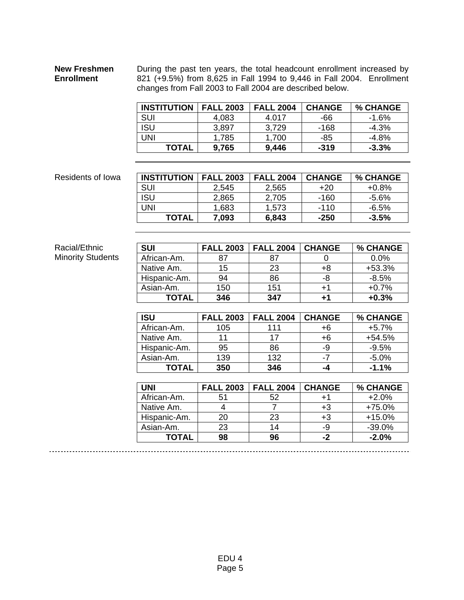### **New Freshmen Enrollment**

During the past ten years, the total headcount enrollment increased by 821 (+9.5%) from 8,625 in Fall 1994 to 9,446 in Fall 2004. Enrollment changes from Fall 2003 to Fall 2004 are described below.

| <b>INSTITUTION</b> | <b>FALL 2003</b> | <b>FALL 2004</b> | <b>CHANGE</b> | % CHANGE |
|--------------------|------------------|------------------|---------------|----------|
| SUI                | 4,083            | 4.017            | -66           | $-1.6\%$ |
| <b>ISU</b>         | 3,897            | 3,729            | -168          | $-4.3%$  |
| UNI                | 1,785            | 1,700            | -85           | -4.8%    |
| <b>TOTAL</b>       | 9.765            | 9,446            | $-319$        | $-3.3\%$ |

#### **Residents of Iowa**

| <b>INSTITUTION</b> | <b>FALL 2003</b> | <b>FALL 2004</b> | <b>CHANGE</b> | % CHANGE |
|--------------------|------------------|------------------|---------------|----------|
| SUI                | 2,545            | 2,565            | +20           | +0.8%    |
| <b>ISU</b>         | 2,865            | 2,705            | -160          | $-5.6\%$ |
| UNI                | 1,683            | 1,573            | $-110$        | $-6.5%$  |
| <b>TOTAL</b>       | 7.093            | 6,843            | $-250$        | $-3.5%$  |

### Racial/Ethnic Minority Students

| <b>SUI</b>   | <b>FALL 2003</b> | <b>FALL 2004</b> | <b>CHANGE</b> | % CHANGE |
|--------------|------------------|------------------|---------------|----------|
| African-Am.  | 87               | 87               |               | 0.0%     |
| Native Am.   | 15               | 23               | +8            | $+53.3%$ |
| Hispanic-Am. | 94               | 86               | -8            | $-8.5%$  |
| Asian-Am.    | 150              | 151              | $+1$          | $+0.7%$  |
| <b>TOTAL</b> | 346              | 347              | $+1$          | $+0.3%$  |
|              |                  |                  |               |          |
| <b>ISU</b>   | <b>FALL 2003</b> | <b>FALL 2004</b> | <b>CHANGE</b> | % CHANGE |
| African-Am.  | 105              | 111              | +6            | $+5.7%$  |
| Native Am.   | 11               | 17               | +6            | $+54.5%$ |
| Hispanic-Am. | 95               | 86               | -9            | $-9.5%$  |

| <b>TOTAL</b> | 350              | 346              | -4            | $-1.1%$  |
|--------------|------------------|------------------|---------------|----------|
|              |                  |                  |               |          |
| <b>UNI</b>   | <b>FALL 2003</b> | <b>FALL 2004</b> | <b>CHANGE</b> | % CHANGE |
| African-Am.  | 51               | 52               | +1            | $+2.0%$  |
| Native Am.   |                  |                  | $+3$          | +75.0%   |
| Hispanic-Am. | 20               | 23               | $+3$          | $+15.0%$ |
| Asian-Am.    | 23               | 14               | -9            | $-39.0%$ |
| TOTAL        | 98               | 96               | -2            | $-2.0%$  |

Asian-Am. 139 132 -7 -5.0%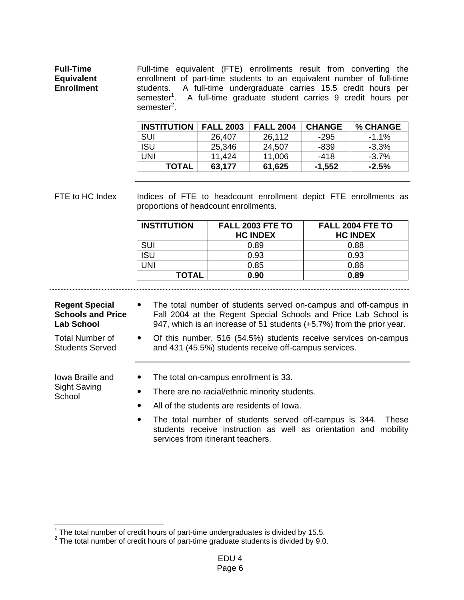**Full-Time Equivalent Enrollment**  Full-time equivalent (FTE) enrollments result from converting the enrollment of part-time students to an equivalent number of full-time students. A full-time undergraduate carries 15.5 credit hours per semester<sup>1</sup>. A full-time graduate student carries 9 credit hours per semester<sup>2</sup>.

| <b>INSTITUTION</b> | <b>FALL 2003</b> | <b>FALL 2004</b> | <b>CHANGE</b> | % CHANGE |
|--------------------|------------------|------------------|---------------|----------|
| SUI                | 26,407           | 26,112           | -295          | -1.1%    |
| <b>ISU</b>         | 25,346           | 24,507           | -839          | $-3.3\%$ |
| <b>UNI</b>         | 11,424           | 11,006           | -418          | $-3.7\%$ |
| <b>TOTAL</b>       | 63,177           | 61,625           | $-1,552$      | $-2.5%$  |

FTE to HC Index Indices of FTE to headcount enrollment depict FTE enrollments as proportions of headcount enrollments.

| <b>INSTITUTION</b> | FALL 2003 FTE TO<br><b>HC INDEX</b> | FALL 2004 FTE TO<br><b>HC INDEX</b> |
|--------------------|-------------------------------------|-------------------------------------|
| <b>SUI</b>         | 0.89                                | 0.88                                |
| ISU                | 0.93                                | 0.93                                |
| JNI                | 0.85                                | 0.86                                |
| <b>TOTAL</b>       | 0.90                                | 0.89                                |

### **Regent Special Schools and Price Lab School**

- The total number of students served on-campus and off-campus in Fall 2004 at the Regent Special Schools and Price Lab School is 947, which is an increase of 51 students (+5.7%) from the prior year.
- Of this number, 516 (54.5%) students receive services on-campus and 431 (45.5%) students receive off-campus services.
- Iowa Braille and Sight Saving **School**

Total Number of Students Served

- The total on-campus enrollment is 33.
- There are no racial/ethnic minority students.
- All of the students are residents of Iowa.
- The total number of students served off-campus is 344. These students receive instruction as well as orientation and mobility services from itinerant teachers.

<sup>&</sup>lt;sup>1</sup> The total number of credit hours of part-time undergraduates is divided by 15.5.<br><sup>2</sup> The total number of credit hours of part time graduate students is divided by 0.0

The total number of credit hours of part-time graduate students is divided by 9.0.